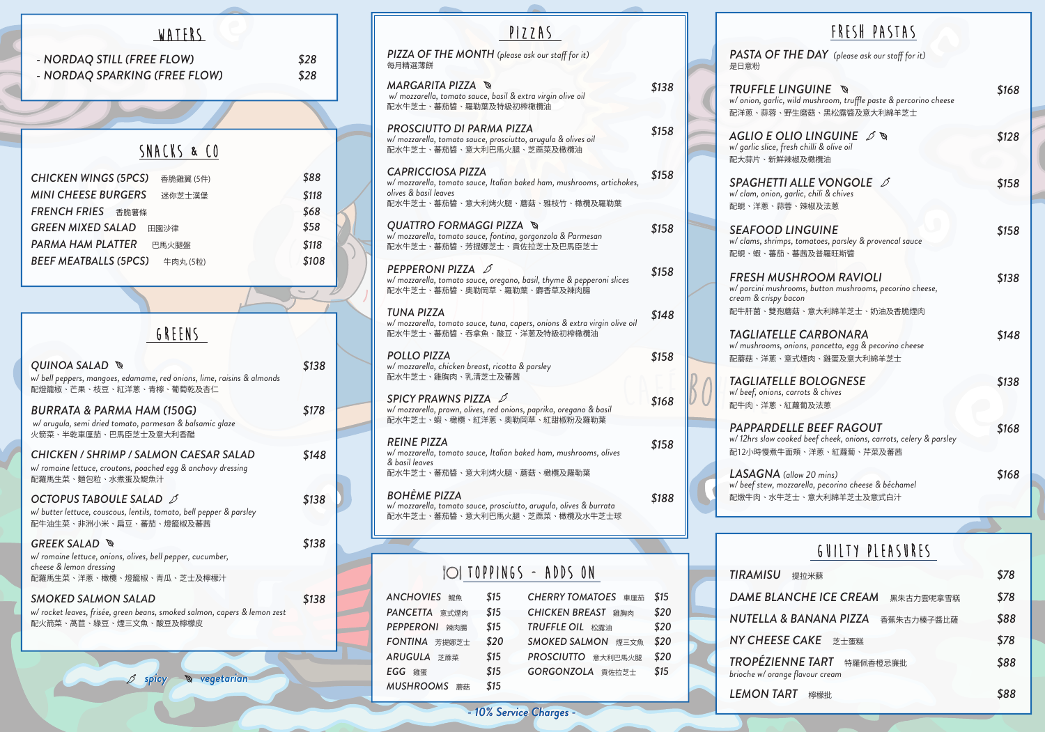| <b>ANCHOVIES</b> 鯷魚     | \$15 | <b>CHERRY TOMATOES</b> 車厘茄   | \$15 |
|-------------------------|------|------------------------------|------|
| PANCETTA 意式煙肉           | \$15 | <b>CHICKEN BREAST</b><br>雞胸肉 | \$20 |
| <b>PEPPERONI</b><br>辣肉腸 | \$15 | TRUFFLE OIL 松露油              | \$20 |
| FONTINA 芳提娜芝士           | \$20 | SMOKED SALMON 煙三文魚           | \$20 |
| ARUGULA 芝蔴菜             | \$15 | PROSCIUTTO 意大利巴馬火腿           | \$20 |
| EGG 雞蛋                  | \$15 | GORGONZOLA 貢佐拉芝士             | \$15 |
| MUSHROOMS<br>蘑菇         | \$15 |                              |      |

| 提拉米蘇                                  | \$78 |
|---------------------------------------|------|
| <b>NCHE ICE CREAM</b><br>黑朱古力雲呢拿雪糕    | \$78 |
| & BANANA PIZZA<br>香蕉朱古力榛子醬比薩          | \$88 |
| <b>E CAKE</b> 芝士蛋糕                    | \$78 |
| NNE TART 特羅佩香橙忌廉批<br>ge flavour cream | \$88 |
| RT<br>檸檬批                             | \$88 |

#### Guilty PleasureS



*PASTA OF* 是日意粉

**TRUFFLE**  $w/$  onion, garlic 配洋蔥、蒜蓉、

**AGLIO E O** *w/ garlic slice,* 配大蒜片、新鮮

SPAGHET<sub>1</sub> *w/ clam, onion, garlic, chili & chives* 配蜆、洋蔥、蒜

SEAFOOD *w/ clams, shrim* 配蜆、蝦、蕃茄

**FRESH MUSH** *w/ porcini mush cream & crispy* 配牛肝菌、雙孢

**TAGLIATEL** *w/ mushrooms,* 配蘑菇、洋蔥

**TAGLIATEL** *w/ beef, onions* 配牛肉、洋蔥、

*PAPPARDE w/ 12hrs slow complete* 配12小時慢煮牛

*LASAGNA (allow 20 mins) w/ beef stew, m* 配燉牛肉、水牛

TOPPINGS - ADDS ON **TIRAMISU** DAME BLA  $NUTELLA$  & **NY CHEES** *TROPÉZIENNE TART* 特羅佩香橙忌廉批 *brioche w/ oran* **LEMON TA** 

| FRESH PASTAS                                                                                                |       |
|-------------------------------------------------------------------------------------------------------------|-------|
| THE DAY (please ask our staff for it)                                                                       |       |
| MGUINE ®<br>, wild mushroom, truffle paste & percorino cheese<br>野生磨菇、黑松露醬及意大利綿羊芝士                          | \$168 |
| $\mathcal{O}$ LINGUINE $\mathscr{I}$ .<br>fresh chilli & olive oil<br><b>i辣椒及橄欖油</b>                        | \$128 |
| <b>TI ALLE VONGOLE</b> $\mathscr{I}$<br>garlic, chili & chives                                              | \$158 |
| <b>i蓉、辣椒及法蔥</b><br>LINGUINE<br>ps, tomatoes, parsley & provencal sauce<br><b>i、蕃茜及普羅旺斯醬</b>                 | \$158 |
| <b>JSHROOM RAVIOLI</b><br>hrooms, button mushrooms, pecorino cheese,<br>bacon<br><b>!蘑菇、意大利綿羊芝士、奶油及香脆煙肉</b> | \$138 |
| LE CARBONARA.<br>onions, pancetta, egg & pecorino cheese<br>意式煙肉、雞蛋及意大利綿羊芝士                                 | \$148 |
| LE BOLOGNESE.<br>, carrots & chives<br>紅蘿蔔及法蔥                                                               | \$138 |
| ELLE BEEF RAGOUT<br>ooked beef cheek, onions, carrots, celery & parsley<br>=面頰、洋蔥、紅蘿蔔、芹菜及蕃茜                 | \$168 |
| (allow 20 mins)<br>ozzarella, pecorino cheese & béchamel<br>-芝士、意大利綿羊芝士及意式白汁                                | \$168 |
|                                                                                                             |       |

| 每月精選薄餅                                                                                                                                                        |       |
|---------------------------------------------------------------------------------------------------------------------------------------------------------------|-------|
| <i>MARGARITA PIZZA  </i> ®<br>w/ mozzarella, tomato sauce, basil & extra virgin olive oil<br>配水牛芝士、蕃茄醬、羅勒葉及特級初榨橄欖油                                            | \$138 |
| PROSCIUTTO DI PARMA PIZZA<br>w/ mozzarella, tomato sauce, prosciutto, arugula & olives oil<br>配水牛芝士、蕃茄醬、意大利巴馬火腿、芝蔴菜及橄欖油                                       | \$158 |
| <b>CAPRICCIOSA PIZZA</b><br>w/ mozzarella, tomato sauce, Italian baked ham, mushrooms, artichokes,<br>olives & basil leaves<br>配水牛芝士、蕃茄醬、意大利烤火腿、蘑菇、雅枝竹、橄欖及羅勒葉 | \$158 |
| QUATTRO FORMAGGI PIZZA ႜ⊗<br>w/ mozzarella, tomato sauce, fontina, gorgonzola & Parmesan<br>配水牛芝士、蕃茄醬、芳提娜芝士、貢佐拉芝士及巴馬臣芝士                                       | \$158 |
| PEPPERONI PIZZA 6<br>w/ mozzarella, tomato sauce, oregano, basil, thyme & pepperoni slices<br>配水牛芝士、蕃茄醬、奧勒岡草、羅勒葉、麝香草及辣肉腸                                      | \$158 |
| TUNA PIZZA<br>w/ mozzarella, tomato sauce, tuna, capers, onions & extra virgin olive oil<br>配水牛芝士、蕃茄醬、吞拿魚、酸豆、洋蔥及特級初榨橄欖油                                       | \$148 |
| <b>POLLO PIZZA</b><br>w/mozzarella, chicken breast, ricotta & parsley<br>配水牛芝士、雞胸肉、乳清芝士及蕃茜                                                                    | \$158 |
| SPICY PRAWNS PIZZA D<br>w/ mozzarella, prawn, olives, red onions, paprika, oregano & basil<br>配水牛芝士、蝦、橄欖、紅洋蔥、奧勒岡草、紅甜椒粉及羅勒葉                                    | \$168 |
| <b>REINE PIZZA</b><br>w/ mozzarella, tomato sauce, Italian baked ham, mushrooms, olives<br>& basil leaves<br>配水牛芝士、蕃茄醬、意大利烤火腿、蘑菇、橄欖及羅勒葉                       | \$158 |
| <b>BOHÈME PIZZA</b><br>w/ mozzarella, tomato sauce, prosciutto, arugula, olives & burrata<br>配水牛芝士、蕃茄醬、意大利巴馬火腿、芝蔴菜、橄欖及水牛芝士球                                   | \$188 |
|                                                                                                                                                               |       |
|                                                                                                                                                               |       |

|  |  | PIZZA |                        |  |
|--|--|-------|------------------------|--|
|  |  |       | $l$ ease ask our staff |  |